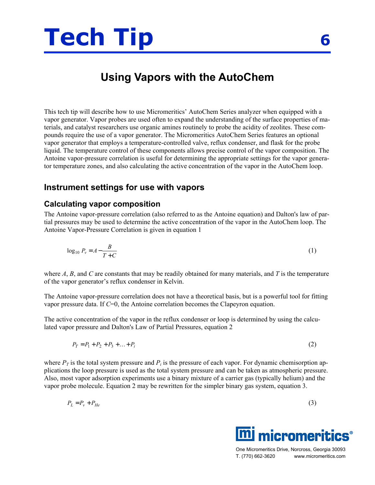

# **Using Vapors with the AutoChem**

This tech tip will describe how to use Micromeritics' AutoChem Series analyzer when equipped with a vapor generator. Vapor probes are used often to expand the understanding of the surface properties of materials, and catalyst researchers use organic amines routinely to probe the acidity of zeolites. These compounds require the use of a vapor generator. The Micromeritics AutoChem Series features an optional vapor generator that employs a temperature-controlled valve, reflux condenser, and flask for the probe liquid. The temperature control of these components allows precise control of the vapor composition. The Antoine vapor-pressure correlation is useful for determining the appropriate settings for the vapor generator temperature zones, and also calculating the active concentration of the vapor in the AutoChem loop.

## **Instrument settings for use with vapors**

## **Calculating vapor composition**

The Antoine vapor-pressure correlation (also referred to as the Antoine equation) and Dalton's law of partial pressures may be used to determine the active concentration of the vapor in the AutoChem loop. The Antoine Vapor-Pressure Correlation is given in equation 1

$$
\log_{10} P_v = A - \frac{B}{T + C} \tag{1}
$$

where *A*, *B*, and *C* are constants that may be readily obtained for many materials, and *T* is the temperature of the vapor generator's reflux condenser in Kelvin.

The Antoine vapor-pressure correlation does not have a theoretical basis, but is a powerful tool for fitting vapor pressure data. If *C*=0, the Antoine correlation becomes the Clapeyron equation.

The active concentration of the vapor in the reflux condenser or loop is determined by using the calculated vapor pressure and Dalton's Law of Partial Pressures, equation 2

$$
P_T = P_1 + P_2 + P_3 + \dots + P_i \tag{2}
$$

where  $P_T$  is the total system pressure and  $P_i$  is the pressure of each vapor. For dynamic chemisorption applications the loop pressure is used as the total system pressure and can be taken as atmospheric pressure. Also, most vapor adsorption experiments use a binary mixture of a carrier gas (typically helium) and the vapor probe molecule. Equation 2 may be rewritten for the simpler binary gas system, equation 3.

$$
P_L = P_v + P_{He} \tag{3}
$$



One Micromeritics Drive, Norcross, Georgia 30093 T. (770) 662-3620 www.micromeritics.com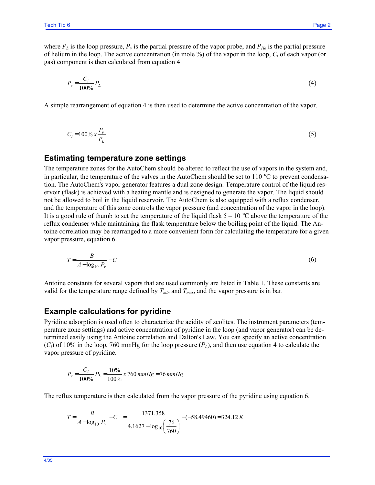where  $P_L$  is the loop pressure,  $P_v$  is the partial pressure of the vapor probe, and  $P_{He}$  is the partial pressure of helium in the loop. The active concentration (in mole %) of the vapor in the loop, *Ci* of each vapor (or gas) component is then calculated from equation 4

$$
P_v = \frac{C_i}{100\%} P_L \tag{4}
$$

A simple rearrangement of equation 4 is then used to determine the active concentration of the vapor.

$$
C_i = 100\% \, x \, \frac{P_v}{P_L} \tag{5}
$$

#### **Estimating temperature zone settings**

The temperature zones for the AutoChem should be altered to reflect the use of vapors in the system and, in particular, the temperature of the valves in the AutoChem should be set to 110  $^{\circ}$ C to prevent condensation. The AutoChem's vapor generator features a dual zone design. Temperature control of the liquid reservoir (flask) is achieved with a heating mantle and is designed to generate the vapor. The liquid should not be allowed to boil in the liquid reservoir. The AutoChem is also equipped with a reflux condenser, and the temperature of this zone controls the vapor pressure (and concentration of the vapor in the loop). It is a good rule of thumb to set the temperature of the liquid flask  $5 - 10^{\circ}$ C above the temperature of the reflux condenser while maintaining the flask temperature below the boiling point of the liquid. The Antoine correlation may be rearranged to a more convenient form for calculating the temperature for a given vapor pressure, equation 6.

$$
T = \frac{B}{A - \log_{10} P_{\nu}} - C \tag{6}
$$

Antoine constants for several vapors that are used commonly are listed in Table 1. These constants are valid for the temperature range defined by  $T_{min}$  and  $T_{max}$ , and the vapor pressure is in bar.

#### **Example calculations for pyridine**

Pyridine adsorption is used often to characterize the acidity of zeolites. The instrument parameters (temperature zone settings) and active concentration of pyridine in the loop (and vapor generator) can be determined easily using the Antoine correlation and Dalton's Law. You can specify an active concentration  $(C_i)$  of 10% in the loop, 760 mmHg for the loop pressure  $(P_L)$ , and then use equation 4 to calculate the vapor pressure of pyridine.

$$
P_v = \frac{C_i}{100\%} P_L = \frac{10\%}{100\%} x 760 \text{ mmHg} = 76 \text{ mmHg}
$$

The reflux temperature is then calculated from the vapor pressure of the pyridine using equation 6.

$$
T = \frac{B}{A - \log_{10} P_v} - C = \frac{1371.358}{4.1627 - \log_{10} \left(\frac{76}{760}\right)} - (-58.49460) = 324.12 \, K
$$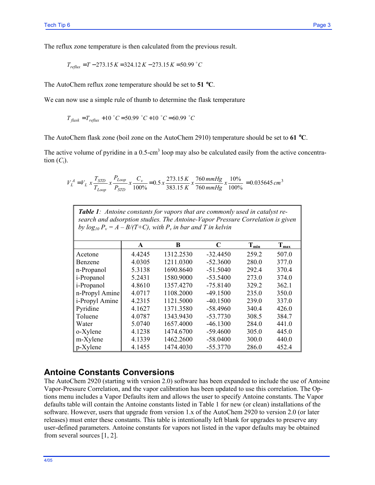The reflux zone temperature is then calculated from the previous result.

$$
T_{\text{reflux}} = T - 273.15 K = 324.12 K - 273.15 K = 50.99 \text{ °C}
$$

The AutoChem reflux zone temperature should be set to **51** °**C**.

We can now use a simple rule of thumb to determine the flask temperature

$$
T_{\text{flask}} = T_{\text{reflux}} + 10 \text{ °C} = 50.99 \text{ °C} + 10 \text{ °C} = 60.99 \text{ °C}
$$

The AutoChem flask zone (boil zone on the AutoChem 2910) temperature should be set to **61** °**C**.

The active volume of pyridine in a 0.5-cm<sup>3</sup> loop may also be calculated easily from the active concentration  $(C_i)$ .

$$
V_L^A = V_L x \frac{T_{STD}}{T_{Loop}} x \frac{P_{Loop}}{P_{STD}} x \frac{C_v}{100\%} = 0.5 x \frac{273.15 K}{383.15 K} x \frac{760 mmHg}{760 mmHg} x \frac{10\%}{100\%} = 0.035645 cm^3
$$

| <b>Table 1</b> : Antoine constants for vapors that are commonly used in catalyst re-<br>search and adsorption studies. The Antoine-Vapor Pressure Correlation is given<br>by $log_{10} P_v = A - B/(T+C)$ , with $P_v$ in bar and T in kelvin |        |           |            |           |                  |  |  |  |
|-----------------------------------------------------------------------------------------------------------------------------------------------------------------------------------------------------------------------------------------------|--------|-----------|------------|-----------|------------------|--|--|--|
|                                                                                                                                                                                                                                               | A      | B         | C          | $T_{min}$ | $T_{\text{max}}$ |  |  |  |
| Acetone                                                                                                                                                                                                                                       | 4.4245 | 1312.2530 | $-32.4450$ | 259.2     | 507.0            |  |  |  |
| Benzene                                                                                                                                                                                                                                       | 4.0305 | 1211.0300 | $-52.3600$ | 280.0     | 377.0            |  |  |  |
| n-Propanol                                                                                                                                                                                                                                    | 5.3138 | 1690.8640 | $-51.5040$ | 292.4     | 370.4            |  |  |  |
| i-Propanol                                                                                                                                                                                                                                    | 5.2431 | 1580.9000 | $-53.5400$ | 273.0     | 374.0            |  |  |  |
| i-Propanol                                                                                                                                                                                                                                    | 4.8610 | 1357.4270 | $-75.8140$ | 329.2     | 362.1            |  |  |  |
| n-Propyl Amine                                                                                                                                                                                                                                | 4.0717 | 1108.2000 | $-49.1500$ | 235.0     | 350.0            |  |  |  |
| i-Propyl Amine                                                                                                                                                                                                                                | 4.2315 | 1121.5000 | $-40.1500$ | 239.0     | 337.0            |  |  |  |
| Pyridine                                                                                                                                                                                                                                      | 4.1627 | 1371.3580 | $-58.4960$ | 340.4     | 426.0            |  |  |  |
| Toluene                                                                                                                                                                                                                                       | 4.0787 | 1343.9430 | $-53.7730$ | 308.5     | 384.7            |  |  |  |
| Water                                                                                                                                                                                                                                         | 5.0740 | 1657.4000 | $-46.1300$ | 284.0     | 441.0            |  |  |  |
| o-Xylene                                                                                                                                                                                                                                      | 4.1238 | 1474.6700 | $-59.4600$ | 305.0     | 445.0            |  |  |  |
| m-Xylene                                                                                                                                                                                                                                      | 4.1339 | 1462.2600 | $-58.0400$ | 300.0     | 440.0            |  |  |  |
| p-Xylene                                                                                                                                                                                                                                      | 4.1455 | 1474.4030 | $-55.3770$ | 286.0     | 452.4            |  |  |  |

### **Antoine Constants Conversions**

The AutoChem 2920 (starting with version 2.0) software has been expanded to include the use of Antoine Vapor-Pressure Correlation, and the vapor calibration has been updated to use this correlation. The Options menu includes a Vapor Defaults item and allows the user to specify Antoine constants. The Vapor defaults table will contain the Antoine constants listed in Table 1 for new (or clean) installations of the software. However, users that upgrade from version 1.x of the AutoChem 2920 to version 2.0 (or later releases) must enter these constants. This table is intentionally left blank for upgrades to preserve any user-defined parameters. Antoine constants for vapors not listed in the vapor defaults may be obtained from several sources [1, 2].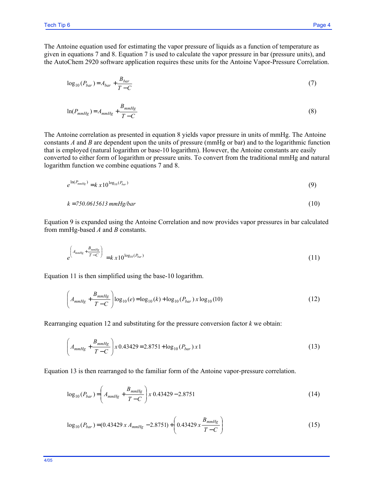The Antoine equation used for estimating the vapor pressure of liquids as a function of temperature as given in equations 7 and 8. Equation 7 is used to calculate the vapor pressure in bar (pressure units), and the AutoChem 2920 software application requires these units for the Antoine Vapor-Pressure Correlation.

$$
\log_{10}(P_{bar}) = A_{bar} + \frac{B_{bar}}{T - C}
$$
\n<sup>(7)</sup>

$$
\ln(P_{mmHg}) = A_{mmHg} + \frac{B_{mmHg}}{T - C}
$$
\n(8)

The Antoine correlation as presented in equation 8 yields vapor pressure in units of mmHg. The Antoine constants *A* and *B* are dependent upon the units of pressure (mmHg or bar) and to the logarithmic function that is employed (natural logarithm or base-10 logarithm). However, the Antoine constants are easily converted to either form of logarithm or pressure units. To convert from the traditional mmHg and natural logarithm function we combine equations 7 and 8.

$$
e^{\ln(P_{mmHg})} = k \times 10^{\log_{10}(P_{bar})} \tag{9}
$$

$$
k = 750.0615613 \text{ mmHg/bar} \tag{10}
$$

Equation 9 is expanded using the Antoine Correlation and now provides vapor pressures in bar calculated from mmHg-based *A* and *B* constants.

$$
e^{\left(A_{mmHg} + \frac{B_{mmHg}}{T - C}\right)} = k \, x \, 10^{\log_{10}(P_{bar})} \tag{11}
$$

Equation 11 is then simplified using the base-10 logarithm.

$$
\left(A_{mmHg} + \frac{B_{mmHg}}{T - C}\right) \log_{10}(e) = \log_{10}(k) + \log_{10}(P_{bar}) x \log_{10}(10)
$$
\n(12)

Rearranging equation 12 and substituting for the pressure conversion factor *k* we obtain:

$$
\left(A_{mmHg} + \frac{B_{mmHg}}{T - C}\right)x 0.43429 = 2.8751 + \log_{10}(P_{bar}) x 1\tag{13}
$$

Equation 13 is then rearranged to the familiar form of the Antoine vapor-pressure correlation.

$$
\log_{10}(P_{bar}) = \left(A_{mmHg} + \frac{B_{mmHg}}{T - C}\right)x \cdot 0.43429 - 2.8751\tag{14}
$$

$$
\log_{10}(P_{bar}) = (0.43429 \, x \, A_{mmHg} - 2.8751) + \left(0.43429 \, x \, \frac{B_{mmHg}}{T - C}\right) \tag{15}
$$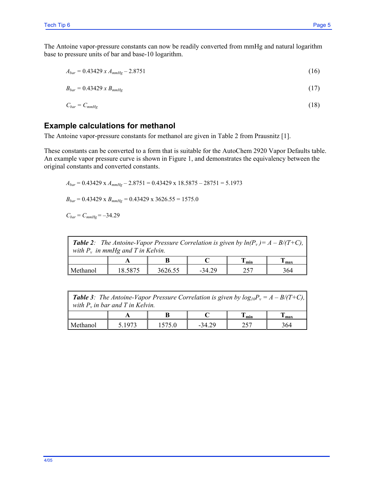$$
A_{bar} = 0.43429 \, x \, A_{mmHg} - 2.8751 \tag{16}
$$

$$
B_{bar} = 0.43429 \times B_{mmHg} \tag{17}
$$

$$
C_{bar} = C_{mmHg} \tag{18}
$$

# **Example calculations for methanol**

The Antoine vapor-pressure constants for methanol are given in Table 2 from Prausnitz [1].

These constants can be converted to a form that is suitable for the AutoChem 2920 Vapor Defaults table. An example vapor pressure curve is shown in Figure 1, and demonstrates the equivalency between the original constants and converted constants.

*Abar* = 0.43429 x *AmmHg* – 2.8751 = 0.43429 x 18.5875 – 28751 = 5.1973  $B_{bar} = 0.43429 \times B_{mmHg} = 0.43429 \times 3626.55 = 1575.0$ 

 $C_{bar} = C_{mmHg} = -34.29$ 

| <b>Table 2:</b> The Antoine-Vapor Pressure Correlation is given by $ln(P_v) = A - B/(T+C)$ ,<br>with $P_v$ in mmHg and T in Kelvin. |         |         |          |                           |     |  |  |  |
|-------------------------------------------------------------------------------------------------------------------------------------|---------|---------|----------|---------------------------|-----|--|--|--|
|                                                                                                                                     |         |         |          | $\mathbf{v}_{\text{min}}$ | max |  |  |  |
| Methanol                                                                                                                            | 18.5875 | 3626.55 | $-34.29$ | 257                       | 364 |  |  |  |

| <b>Table 3:</b> The Antoine-Vapor Pressure Correlation is given by $log_{10}P_v = A - B/(T+C)$ ,<br>with $P_v$ in bar and T in Kelvin. |        |        |          |                           |       |  |  |  |
|----------------------------------------------------------------------------------------------------------------------------------------|--------|--------|----------|---------------------------|-------|--|--|--|
|                                                                                                                                        |        |        |          | $\mathbf{I}_{\text{min}}$ | l max |  |  |  |
| Methanol                                                                                                                               | 5 1973 | 1575.0 | $-34.29$ | 257                       | 364   |  |  |  |